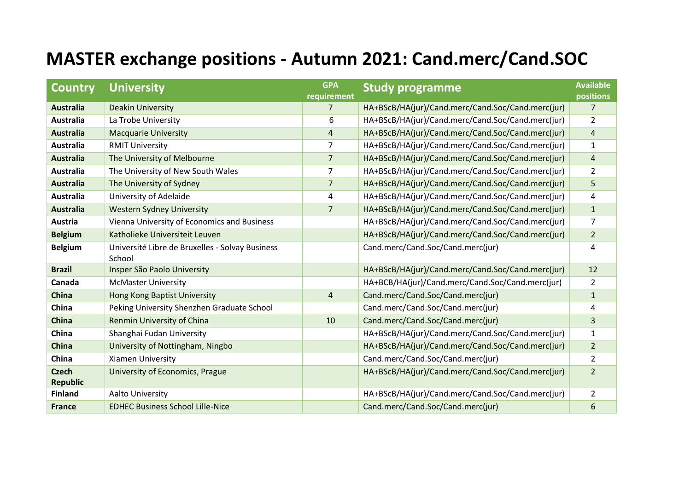## **MASTER exchange positions - Autumn 2021: Cand.merc/Cand.SOC**

| <b>Country</b>                  | <b>University</b>                                         | <b>GPA</b><br>requirement | <b>Study programme</b>                            | <b>Available</b><br>positions |
|---------------------------------|-----------------------------------------------------------|---------------------------|---------------------------------------------------|-------------------------------|
| <b>Australia</b>                | <b>Deakin University</b>                                  | $\overline{7}$            | HA+BScB/HA(jur)/Cand.merc/Cand.Soc/Cand.merc(jur) | $\overline{7}$                |
| <b>Australia</b>                | La Trobe University                                       | 6                         | HA+BScB/HA(jur)/Cand.merc/Cand.Soc/Cand.merc(jur) | $\overline{2}$                |
| <b>Australia</b>                | <b>Macquarie University</b>                               | $\overline{4}$            | HA+BScB/HA(jur)/Cand.merc/Cand.Soc/Cand.merc(jur) | $\overline{4}$                |
| <b>Australia</b>                | <b>RMIT University</b>                                    | $\overline{7}$            | HA+BScB/HA(jur)/Cand.merc/Cand.Soc/Cand.merc(jur) | $\mathbf{1}$                  |
| <b>Australia</b>                | The University of Melbourne                               | $\overline{7}$            | HA+BScB/HA(jur)/Cand.merc/Cand.Soc/Cand.merc(jur) | $\overline{\mathbf{4}}$       |
| Australia                       | The University of New South Wales                         | $\overline{7}$            | HA+BScB/HA(jur)/Cand.merc/Cand.Soc/Cand.merc(jur) | $\overline{2}$                |
| <b>Australia</b>                | The University of Sydney                                  | $\overline{7}$            | HA+BScB/HA(jur)/Cand.merc/Cand.Soc/Cand.merc(jur) | 5                             |
| <b>Australia</b>                | University of Adelaide                                    | 4                         | HA+BScB/HA(jur)/Cand.merc/Cand.Soc/Cand.merc(jur) | 4                             |
| <b>Australia</b>                | <b>Western Sydney University</b>                          | $\overline{7}$            | HA+BScB/HA(jur)/Cand.merc/Cand.Soc/Cand.merc(jur) | $\mathbf{1}$                  |
| Austria                         | Vienna University of Economics and Business               |                           | HA+BScB/HA(jur)/Cand.merc/Cand.Soc/Cand.merc(jur) | 7                             |
| <b>Belgium</b>                  | Katholieke Universiteit Leuven                            |                           | HA+BScB/HA(jur)/Cand.merc/Cand.Soc/Cand.merc(jur) | $\overline{2}$                |
| <b>Belgium</b>                  | Université Libre de Bruxelles - Solvay Business<br>School |                           | Cand.merc/Cand.Soc/Cand.merc(jur)                 | 4                             |
| <b>Brazil</b>                   | Insper São Paolo University                               |                           | HA+BScB/HA(jur)/Cand.merc/Cand.Soc/Cand.merc(jur) | 12                            |
| Canada                          | <b>McMaster University</b>                                |                           | HA+BCB/HA(jur)/Cand.merc/Cand.Soc/Cand.merc(jur)  | $\overline{2}$                |
| <b>China</b>                    | <b>Hong Kong Baptist University</b>                       | $\overline{4}$            | Cand.merc/Cand.Soc/Cand.merc(jur)                 | $\mathbf{1}$                  |
| China                           | Peking University Shenzhen Graduate School                |                           | Cand.merc/Cand.Soc/Cand.merc(jur)                 | 4                             |
| China                           | Renmin University of China                                | 10                        | Cand.merc/Cand.Soc/Cand.merc(jur)                 | 3                             |
| China                           | Shanghai Fudan University                                 |                           | HA+BScB/HA(jur)/Cand.merc/Cand.Soc/Cand.merc(jur) | $\mathbf{1}$                  |
| China                           | University of Nottingham, Ningbo                          |                           | HA+BScB/HA(jur)/Cand.merc/Cand.Soc/Cand.merc(jur) | $\overline{2}$                |
| China                           | Xiamen University                                         |                           | Cand.merc/Cand.Soc/Cand.merc(jur)                 | $\overline{2}$                |
| <b>Czech</b><br><b>Republic</b> | University of Economics, Prague                           |                           | HA+BScB/HA(jur)/Cand.merc/Cand.Soc/Cand.merc(jur) | $\overline{2}$                |
| <b>Finland</b>                  | <b>Aalto University</b>                                   |                           | HA+BScB/HA(jur)/Cand.merc/Cand.Soc/Cand.merc(jur) | $\overline{2}$                |
| <b>France</b>                   | <b>EDHEC Business School Lille-Nice</b>                   |                           | Cand.merc/Cand.Soc/Cand.merc(jur)                 | 6                             |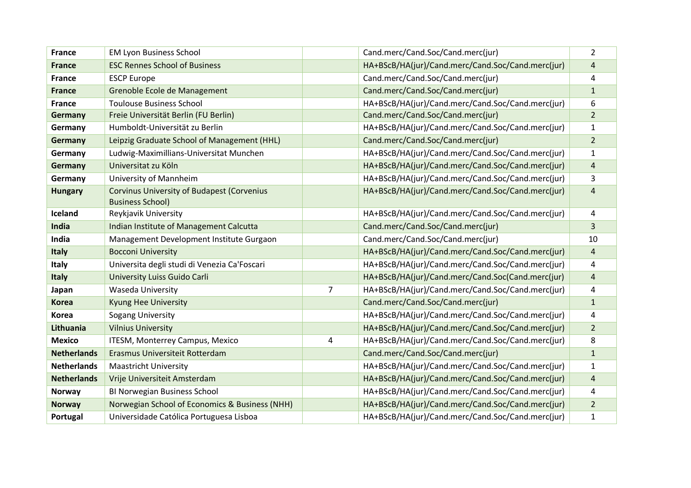| <b>France</b>      | <b>EM Lyon Business School</b>                                               |                | Cand.merc/Cand.Soc/Cand.merc(jur)                 | $\overline{2}$          |
|--------------------|------------------------------------------------------------------------------|----------------|---------------------------------------------------|-------------------------|
| <b>France</b>      | <b>ESC Rennes School of Business</b>                                         |                | HA+BScB/HA(jur)/Cand.merc/Cand.Soc/Cand.merc(jur) | 4                       |
| <b>France</b>      | <b>ESCP Europe</b>                                                           |                | Cand.merc/Cand.Soc/Cand.merc(jur)                 | 4                       |
| <b>France</b>      | Grenoble Ecole de Management                                                 |                | Cand.merc/Cand.Soc/Cand.merc(jur)                 | $\mathbf{1}$            |
| <b>France</b>      | <b>Toulouse Business School</b>                                              |                | HA+BScB/HA(jur)/Cand.merc/Cand.Soc/Cand.merc(jur) | 6                       |
| Germany            | Freie Universität Berlin (FU Berlin)                                         |                | Cand.merc/Cand.Soc/Cand.merc(jur)                 | $\overline{2}$          |
| Germany            | Humboldt-Universität zu Berlin                                               |                | HA+BScB/HA(jur)/Cand.merc/Cand.Soc/Cand.merc(jur) | 1                       |
| Germany            | Leipzig Graduate School of Management (HHL)                                  |                | Cand.merc/Cand.Soc/Cand.merc(jur)                 | $\overline{2}$          |
| Germany            | Ludwig-Maximillians-Universitat Munchen                                      |                | HA+BScB/HA(jur)/Cand.merc/Cand.Soc/Cand.merc(jur) | $\mathbf{1}$            |
| Germany            | Universitat zu Köln                                                          |                | HA+BScB/HA(jur)/Cand.merc/Cand.Soc/Cand.merc(jur) | $\sqrt{4}$              |
| Germany            | University of Mannheim                                                       |                | HA+BScB/HA(jur)/Cand.merc/Cand.Soc/Cand.merc(jur) | 3                       |
| <b>Hungary</b>     | <b>Corvinus University of Budapest (Corvenius</b><br><b>Business School)</b> |                | HA+BScB/HA(jur)/Cand.merc/Cand.Soc/Cand.merc(jur) | $\overline{4}$          |
| Iceland            | Reykjavik University                                                         |                | HA+BScB/HA(jur)/Cand.merc/Cand.Soc/Cand.merc(jur) | 4                       |
| India              | Indian Institute of Management Calcutta                                      |                | Cand.merc/Cand.Soc/Cand.merc(jur)                 | 3                       |
| India              | Management Development Institute Gurgaon                                     |                | Cand.merc/Cand.Soc/Cand.merc(jur)                 | 10                      |
| Italy              | <b>Bocconi University</b>                                                    |                | HA+BScB/HA(jur)/Cand.merc/Cand.Soc/Cand.merc(jur) | $\sqrt{4}$              |
| Italy              | Universita degli studi di Venezia Ca'Foscari                                 |                | HA+BScB/HA(jur)/Cand.merc/Cand.Soc/Cand.merc(jur) | 4                       |
| Italy              | University Luiss Guido Carli                                                 |                | HA+BScB/HA(jur)/Cand.merc/Cand.Soc(Cand.merc(jur) | $\overline{4}$          |
| Japan              | Waseda University                                                            | $\overline{7}$ | HA+BScB/HA(jur)/Cand.merc/Cand.Soc/Cand.merc(jur) | 4                       |
| <b>Korea</b>       | <b>Kyung Hee University</b>                                                  |                | Cand.merc/Cand.Soc/Cand.merc(jur)                 | $\mathbf{1}$            |
| <b>Korea</b>       | Sogang University                                                            |                | HA+BScB/HA(jur)/Cand.merc/Cand.Soc/Cand.merc(jur) | 4                       |
| Lithuania          | <b>Vilnius University</b>                                                    |                | HA+BScB/HA(jur)/Cand.merc/Cand.Soc/Cand.merc(jur) | $\overline{2}$          |
| <b>Mexico</b>      | ITESM, Monterrey Campus, Mexico                                              | 4              | HA+BScB/HA(jur)/Cand.merc/Cand.Soc/Cand.merc(jur) | 8                       |
| <b>Netherlands</b> | Erasmus Universiteit Rotterdam                                               |                | Cand.merc/Cand.Soc/Cand.merc(jur)                 | $\mathbf{1}$            |
| <b>Netherlands</b> | <b>Maastricht University</b>                                                 |                | HA+BScB/HA(jur)/Cand.merc/Cand.Soc/Cand.merc(jur) | $\mathbf{1}$            |
| <b>Netherlands</b> | Vrije Universiteit Amsterdam                                                 |                | HA+BScB/HA(jur)/Cand.merc/Cand.Soc/Cand.merc(jur) | $\overline{\mathbf{4}}$ |
| <b>Norway</b>      | BI Norwegian Business School                                                 |                | HA+BScB/HA(jur)/Cand.merc/Cand.Soc/Cand.merc(jur) | 4                       |
| <b>Norway</b>      | Norwegian School of Economics & Business (NHH)                               |                | HA+BScB/HA(jur)/Cand.merc/Cand.Soc/Cand.merc(jur) | $\overline{2}$          |
| Portugal           | Universidade Católica Portuguesa Lisboa                                      |                | HA+BScB/HA(jur)/Cand.merc/Cand.Soc/Cand.merc(jur) | $\mathbf{1}$            |